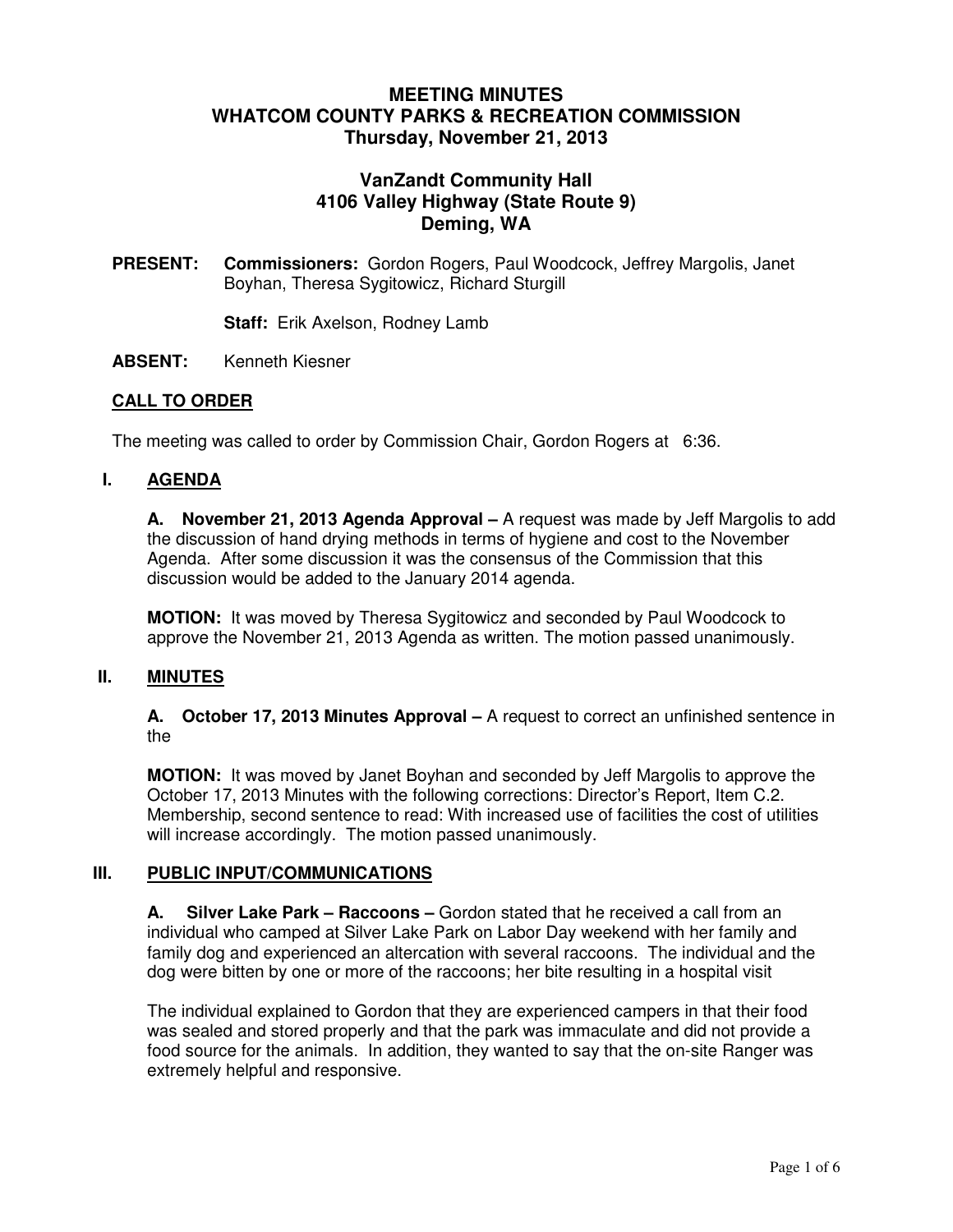# **MEETING MINUTES WHATCOM COUNTY PARKS & RECREATION COMMISSION Thursday, November 21, 2013**

# **VanZandt Community Hall 4106 Valley Highway (State Route 9) Deming, WA**

**PRESENT: Commissioners:** Gordon Rogers, Paul Woodcock, Jeffrey Margolis, Janet Boyhan, Theresa Sygitowicz, Richard Sturgill

**Staff:** Erik Axelson, Rodney Lamb

**ABSENT:** Kenneth Kiesner

### **CALL TO ORDER**

The meeting was called to order by Commission Chair, Gordon Rogers at 6:36.

#### **I. AGENDA**

**A. November 21, 2013 Agenda Approval –** A request was made by Jeff Margolis to add the discussion of hand drying methods in terms of hygiene and cost to the November Agenda. After some discussion it was the consensus of the Commission that this discussion would be added to the January 2014 agenda.

**MOTION:** It was moved by Theresa Sygitowicz and seconded by Paul Woodcock to approve the November 21, 2013 Agenda as written. The motion passed unanimously.

#### **II. MINUTES**

**A. October 17, 2013 Minutes Approval –** A request to correct an unfinished sentence in the

**MOTION:** It was moved by Janet Boyhan and seconded by Jeff Margolis to approve the October 17, 2013 Minutes with the following corrections: Director's Report, Item C.2. Membership, second sentence to read: With increased use of facilities the cost of utilities will increase accordingly. The motion passed unanimously.

#### **III. PUBLIC INPUT/COMMUNICATIONS**

**A. Silver Lake Park – Raccoons –** Gordon stated that he received a call from an individual who camped at Silver Lake Park on Labor Day weekend with her family and family dog and experienced an altercation with several raccoons. The individual and the dog were bitten by one or more of the raccoons; her bite resulting in a hospital visit

The individual explained to Gordon that they are experienced campers in that their food was sealed and stored properly and that the park was immaculate and did not provide a food source for the animals. In addition, they wanted to say that the on-site Ranger was extremely helpful and responsive.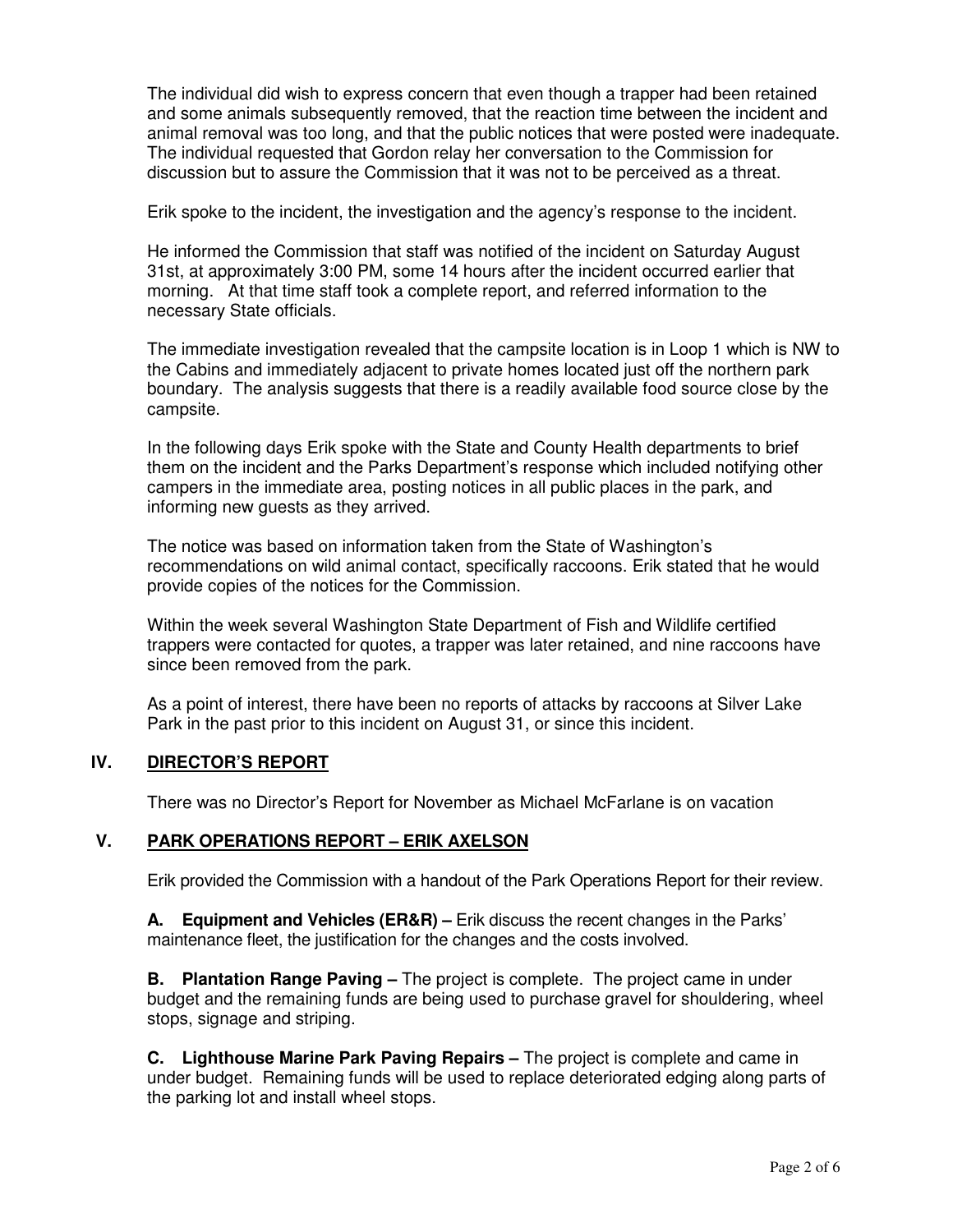The individual did wish to express concern that even though a trapper had been retained and some animals subsequently removed, that the reaction time between the incident and animal removal was too long, and that the public notices that were posted were inadequate. The individual requested that Gordon relay her conversation to the Commission for discussion but to assure the Commission that it was not to be perceived as a threat.

Erik spoke to the incident, the investigation and the agency's response to the incident.

He informed the Commission that staff was notified of the incident on Saturday August 31st, at approximately 3:00 PM, some 14 hours after the incident occurred earlier that morning. At that time staff took a complete report, and referred information to the necessary State officials.

The immediate investigation revealed that the campsite location is in Loop 1 which is NW to the Cabins and immediately adjacent to private homes located just off the northern park boundary. The analysis suggests that there is a readily available food source close by the campsite.

In the following days Erik spoke with the State and County Health departments to brief them on the incident and the Parks Department's response which included notifying other campers in the immediate area, posting notices in all public places in the park, and informing new guests as they arrived.

The notice was based on information taken from the State of Washington's recommendations on wild animal contact, specifically raccoons. Erik stated that he would provide copies of the notices for the Commission.

Within the week several Washington State Department of Fish and Wildlife certified trappers were contacted for quotes, a trapper was later retained, and nine raccoons have since been removed from the park.

As a point of interest, there have been no reports of attacks by raccoons at Silver Lake Park in the past prior to this incident on August 31, or since this incident.

### **IV. DIRECTOR'S REPORT**

There was no Director's Report for November as Michael McFarlane is on vacation

### **V. PARK OPERATIONS REPORT – ERIK AXELSON**

Erik provided the Commission with a handout of the Park Operations Report for their review.

**A. Equipment and Vehicles (ER&R) –** Erik discuss the recent changes in the Parks' maintenance fleet, the justification for the changes and the costs involved.

**B. Plantation Range Paving –** The project is complete. The project came in under budget and the remaining funds are being used to purchase gravel for shouldering, wheel stops, signage and striping.

**C. Lighthouse Marine Park Paving Repairs –** The project is complete and came in under budget. Remaining funds will be used to replace deteriorated edging along parts of the parking lot and install wheel stops.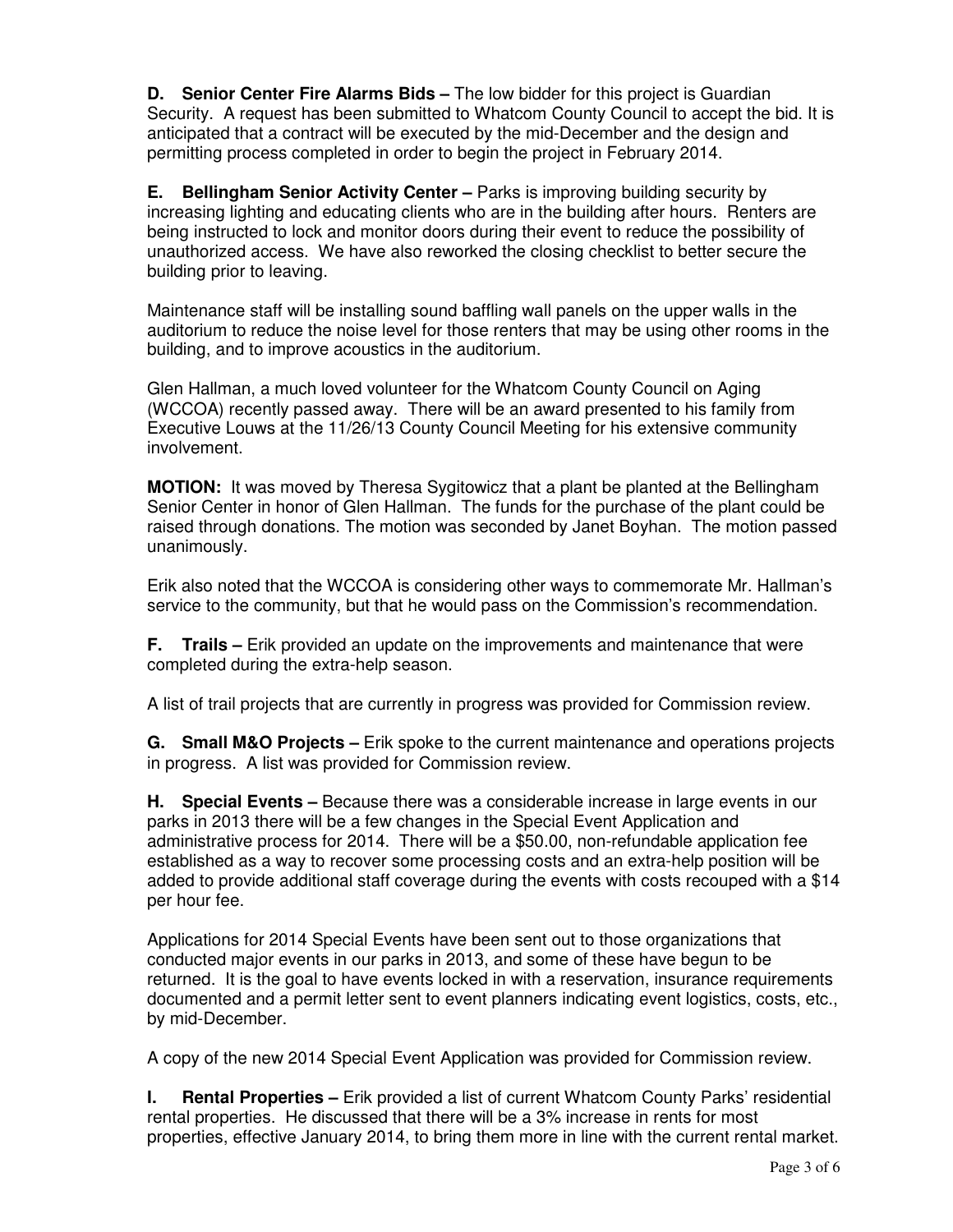**D. Senior Center Fire Alarms Bids –** The low bidder for this project is Guardian Security. A request has been submitted to Whatcom County Council to accept the bid. It is anticipated that a contract will be executed by the mid-December and the design and permitting process completed in order to begin the project in February 2014.

**E. Bellingham Senior Activity Center –** Parks is improving building security by increasing lighting and educating clients who are in the building after hours. Renters are being instructed to lock and monitor doors during their event to reduce the possibility of unauthorized access. We have also reworked the closing checklist to better secure the building prior to leaving.

Maintenance staff will be installing sound baffling wall panels on the upper walls in the auditorium to reduce the noise level for those renters that may be using other rooms in the building, and to improve acoustics in the auditorium.

Glen Hallman, a much loved volunteer for the Whatcom County Council on Aging (WCCOA) recently passed away. There will be an award presented to his family from Executive Louws at the 11/26/13 County Council Meeting for his extensive community involvement.

**MOTION:** It was moved by Theresa Sygitowicz that a plant be planted at the Bellingham Senior Center in honor of Glen Hallman. The funds for the purchase of the plant could be raised through donations. The motion was seconded by Janet Boyhan. The motion passed unanimously.

Erik also noted that the WCCOA is considering other ways to commemorate Mr. Hallman's service to the community, but that he would pass on the Commission's recommendation.

**F. Trails –** Erik provided an update on the improvements and maintenance that were completed during the extra-help season.

A list of trail projects that are currently in progress was provided for Commission review.

**G. Small M&O Projects –** Erik spoke to the current maintenance and operations projects in progress. A list was provided for Commission review.

**H. Special Events –** Because there was a considerable increase in large events in our parks in 2013 there will be a few changes in the Special Event Application and administrative process for 2014. There will be a \$50.00, non-refundable application fee established as a way to recover some processing costs and an extra-help position will be added to provide additional staff coverage during the events with costs recouped with a \$14 per hour fee.

Applications for 2014 Special Events have been sent out to those organizations that conducted major events in our parks in 2013, and some of these have begun to be returned. It is the goal to have events locked in with a reservation, insurance requirements documented and a permit letter sent to event planners indicating event logistics, costs, etc., by mid-December.

A copy of the new 2014 Special Event Application was provided for Commission review.

**I. Rental Properties** – Erik provided a list of current Whatcom County Parks' residential rental properties. He discussed that there will be a 3% increase in rents for most properties, effective January 2014, to bring them more in line with the current rental market.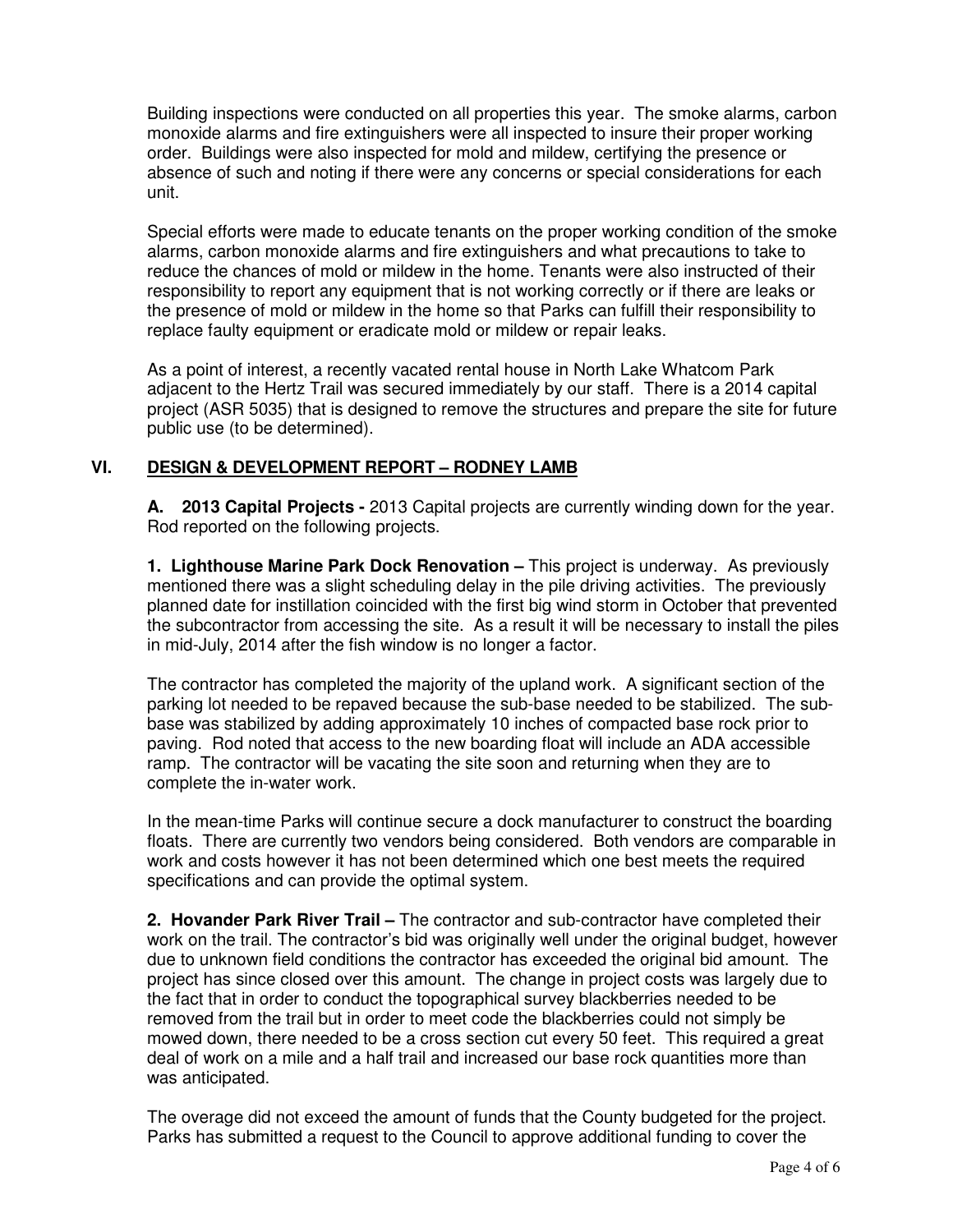Building inspections were conducted on all properties this year. The smoke alarms, carbon monoxide alarms and fire extinguishers were all inspected to insure their proper working order. Buildings were also inspected for mold and mildew, certifying the presence or absence of such and noting if there were any concerns or special considerations for each unit.

Special efforts were made to educate tenants on the proper working condition of the smoke alarms, carbon monoxide alarms and fire extinguishers and what precautions to take to reduce the chances of mold or mildew in the home. Tenants were also instructed of their responsibility to report any equipment that is not working correctly or if there are leaks or the presence of mold or mildew in the home so that Parks can fulfill their responsibility to replace faulty equipment or eradicate mold or mildew or repair leaks.

As a point of interest, a recently vacated rental house in North Lake Whatcom Park adjacent to the Hertz Trail was secured immediately by our staff. There is a 2014 capital project (ASR 5035) that is designed to remove the structures and prepare the site for future public use (to be determined).

## **VI. DESIGN & DEVELOPMENT REPORT – RODNEY LAMB**

**A. 2013 Capital Projects -** 2013 Capital projects are currently winding down for the year. Rod reported on the following projects.

**1. Lighthouse Marine Park Dock Renovation –** This project is underway. As previously mentioned there was a slight scheduling delay in the pile driving activities. The previously planned date for instillation coincided with the first big wind storm in October that prevented the subcontractor from accessing the site. As a result it will be necessary to install the piles in mid-July, 2014 after the fish window is no longer a factor.

The contractor has completed the majority of the upland work. A significant section of the parking lot needed to be repaved because the sub-base needed to be stabilized. The subbase was stabilized by adding approximately 10 inches of compacted base rock prior to paving. Rod noted that access to the new boarding float will include an ADA accessible ramp. The contractor will be vacating the site soon and returning when they are to complete the in-water work.

In the mean-time Parks will continue secure a dock manufacturer to construct the boarding floats. There are currently two vendors being considered. Both vendors are comparable in work and costs however it has not been determined which one best meets the required specifications and can provide the optimal system.

**2. Hovander Park River Trail –** The contractor and sub-contractor have completed their work on the trail. The contractor's bid was originally well under the original budget, however due to unknown field conditions the contractor has exceeded the original bid amount. The project has since closed over this amount. The change in project costs was largely due to the fact that in order to conduct the topographical survey blackberries needed to be removed from the trail but in order to meet code the blackberries could not simply be mowed down, there needed to be a cross section cut every 50 feet. This required a great deal of work on a mile and a half trail and increased our base rock quantities more than was anticipated.

The overage did not exceed the amount of funds that the County budgeted for the project. Parks has submitted a request to the Council to approve additional funding to cover the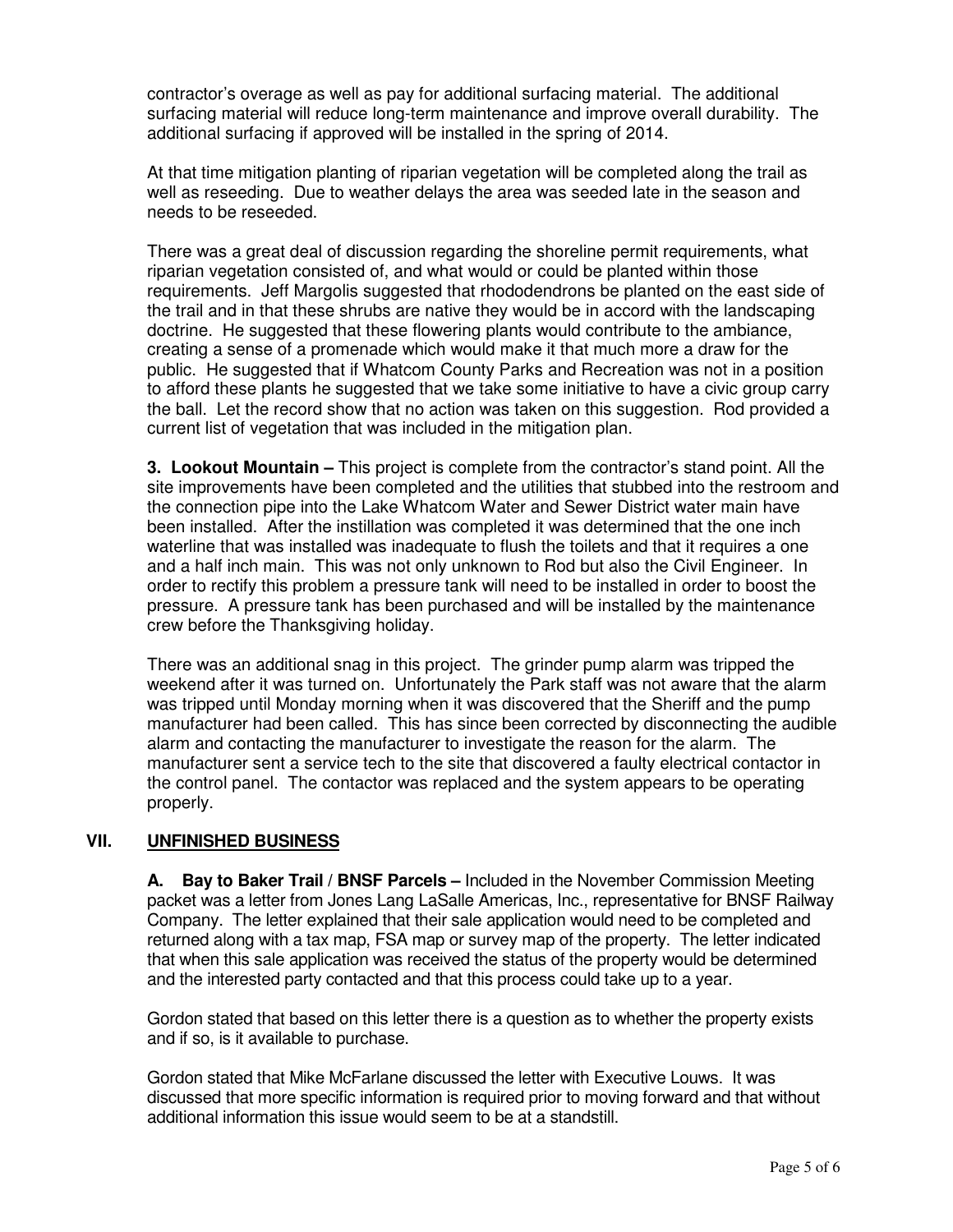contractor's overage as well as pay for additional surfacing material. The additional surfacing material will reduce long-term maintenance and improve overall durability. The additional surfacing if approved will be installed in the spring of 2014.

At that time mitigation planting of riparian vegetation will be completed along the trail as well as reseeding. Due to weather delays the area was seeded late in the season and needs to be reseeded.

There was a great deal of discussion regarding the shoreline permit requirements, what riparian vegetation consisted of, and what would or could be planted within those requirements. Jeff Margolis suggested that rhododendrons be planted on the east side of the trail and in that these shrubs are native they would be in accord with the landscaping doctrine. He suggested that these flowering plants would contribute to the ambiance, creating a sense of a promenade which would make it that much more a draw for the public. He suggested that if Whatcom County Parks and Recreation was not in a position to afford these plants he suggested that we take some initiative to have a civic group carry the ball. Let the record show that no action was taken on this suggestion. Rod provided a current list of vegetation that was included in the mitigation plan.

**3. Lookout Mountain –** This project is complete from the contractor's stand point. All the site improvements have been completed and the utilities that stubbed into the restroom and the connection pipe into the Lake Whatcom Water and Sewer District water main have been installed. After the instillation was completed it was determined that the one inch waterline that was installed was inadequate to flush the toilets and that it requires a one and a half inch main. This was not only unknown to Rod but also the Civil Engineer. In order to rectify this problem a pressure tank will need to be installed in order to boost the pressure. A pressure tank has been purchased and will be installed by the maintenance crew before the Thanksgiving holiday.

There was an additional snag in this project. The grinder pump alarm was tripped the weekend after it was turned on. Unfortunately the Park staff was not aware that the alarm was tripped until Monday morning when it was discovered that the Sheriff and the pump manufacturer had been called. This has since been corrected by disconnecting the audible alarm and contacting the manufacturer to investigate the reason for the alarm. The manufacturer sent a service tech to the site that discovered a faulty electrical contactor in the control panel. The contactor was replaced and the system appears to be operating properly.

# **VII. UNFINISHED BUSINESS**

**A. Bay to Baker Trail / BNSF Parcels –** Included in the November Commission Meeting packet was a letter from Jones Lang LaSalle Americas, Inc., representative for BNSF Railway Company. The letter explained that their sale application would need to be completed and returned along with a tax map, FSA map or survey map of the property. The letter indicated that when this sale application was received the status of the property would be determined and the interested party contacted and that this process could take up to a year.

Gordon stated that based on this letter there is a question as to whether the property exists and if so, is it available to purchase.

Gordon stated that Mike McFarlane discussed the letter with Executive Louws. It was discussed that more specific information is required prior to moving forward and that without additional information this issue would seem to be at a standstill.